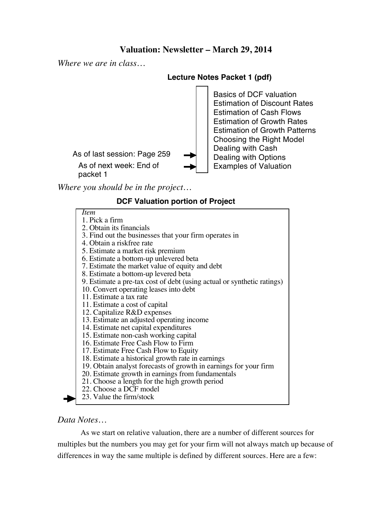## **Valuation: Newsletter – March 29, 2014**

*Where we are in class…*

#### **Lecture Notes Packet 1 (pdf)**

As of next week: End of packet 1 As of last session: Page 259 Basics of DCF valuation Estimation of Discount Rates Estimation of Cash Flows Estimation of Growth Rates Estimation of Growth Patterns Choosing the Right Model Dealing with Cash Dealing with Options Examples of Valuation

*Where you should be in the project…*

### **DCF Valuation portion of Project**

*Item*

1. Pick a firm 2. Obtain its financials 3. Find out the businesses that your firm operates in 4. Obtain a riskfree rate 5. Estimate a market risk premium 6. Estimate a bottom-up unlevered beta 7. Estimate the market value of equity and debt 8. Estimate a bottom-up levered beta 9. Estimate a pre-tax cost of debt (using actual or synthetic ratings) 10. Convert operating leases into debt 11. Estimate a tax rate 11. Estimate a cost of capital 12. Capitalize R&D expenses 13. Estimate an adjusted operating income 14. Estimate net capital expenditures 15. Estimate non-cash working capital 16. Estimate Free Cash Flow to Firm 17. Estimate Free Cash Flow to Equity 18. Estimate a historical growth rate in earnings 19. Obtain analyst forecasts of growth in earnings for your firm 20. Estimate growth in earnings from fundamentals 21. Choose a length for the high growth period 22. Choose a DCF model 23. Value the firm/stock

### *Data Notes…*

As we start on relative valuation, there are a number of different sources for multiples but the numbers you may get for your firm will not always match up because of differences in way the same multiple is defined by different sources. Here are a few: